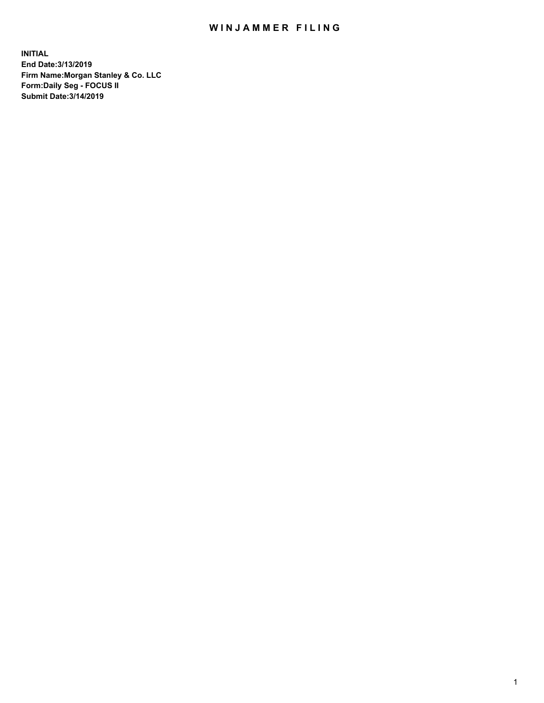## WIN JAMMER FILING

**INITIAL End Date:3/13/2019 Firm Name:Morgan Stanley & Co. LLC Form:Daily Seg - FOCUS II Submit Date:3/14/2019**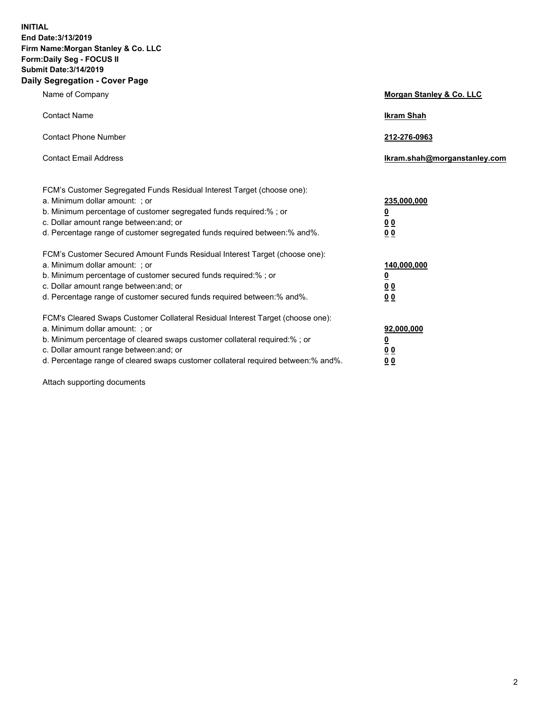**INITIAL End Date:3/13/2019 Firm Name:Morgan Stanley & Co. LLC Form:Daily Seg - FOCUS II Submit Date:3/14/2019 Daily Segregation - Cover Page**

| Name of Company                                                                                                                                                                                                                                                                                                               | Morgan Stanley & Co. LLC                                    |
|-------------------------------------------------------------------------------------------------------------------------------------------------------------------------------------------------------------------------------------------------------------------------------------------------------------------------------|-------------------------------------------------------------|
| <b>Contact Name</b>                                                                                                                                                                                                                                                                                                           | <b>Ikram Shah</b>                                           |
| <b>Contact Phone Number</b>                                                                                                                                                                                                                                                                                                   | 212-276-0963                                                |
| <b>Contact Email Address</b>                                                                                                                                                                                                                                                                                                  | Ikram.shah@morganstanley.com                                |
| FCM's Customer Segregated Funds Residual Interest Target (choose one):<br>a. Minimum dollar amount: ; or<br>b. Minimum percentage of customer segregated funds required:% ; or<br>c. Dollar amount range between: and; or<br>d. Percentage range of customer segregated funds required between:% and%.                        | 235,000,000<br><u>0</u><br><u>00</u><br>0 <sup>0</sup>      |
| FCM's Customer Secured Amount Funds Residual Interest Target (choose one):<br>a. Minimum dollar amount: ; or<br>b. Minimum percentage of customer secured funds required:%; or<br>c. Dollar amount range between: and; or<br>d. Percentage range of customer secured funds required between:% and%.                           | 140,000,000<br><u>0</u><br>0 <sub>0</sub><br>0 <sub>0</sub> |
| FCM's Cleared Swaps Customer Collateral Residual Interest Target (choose one):<br>a. Minimum dollar amount: ; or<br>b. Minimum percentage of cleared swaps customer collateral required:%; or<br>c. Dollar amount range between: and; or<br>d. Percentage range of cleared swaps customer collateral required between:% and%. | 92,000,000<br><u>0</u><br>0 Q<br>00                         |

Attach supporting documents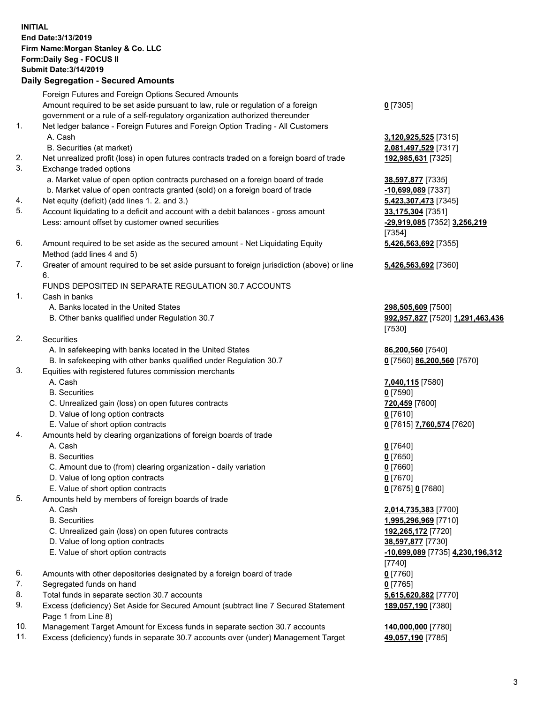## **INITIAL End Date:3/13/2019 Firm Name:Morgan Stanley & Co. LLC Form:Daily Seg - FOCUS II Submit Date:3/14/2019**

## **Daily Segregation - Secured Amounts**

Foreign Futures and Foreign Options Secured Amounts Amount required to be set aside pursuant to law, rule or regulation of a foreign government or a rule of a self-regulatory organization authorized thereunder 1. Net ledger balance - Foreign Futures and Foreign Option Trading - All Customers A. Cash **3,120,925,525** [7315]

- B. Securities (at market) **2,081,497,529** [7317]
- 2. Net unrealized profit (loss) in open futures contracts traded on a foreign board of trade **192,985,631** [7325]
- 3. Exchange traded options
	- a. Market value of open option contracts purchased on a foreign board of trade **38,597,877** [7335]
	- b. Market value of open contracts granted (sold) on a foreign board of trade **-10,699,089** [7337]
- 4. Net equity (deficit) (add lines 1. 2. and 3.) **5,423,307,473** [7345]
- 5. Account liquidating to a deficit and account with a debit balances gross amount **33,175,304** [7351] Less: amount offset by customer owned securities **-29,919,085** [7352] **3,256,219**
- 6. Amount required to be set aside as the secured amount Net Liquidating Equity Method (add lines 4 and 5)
- 7. Greater of amount required to be set aside pursuant to foreign jurisdiction (above) or line 6.

## FUNDS DEPOSITED IN SEPARATE REGULATION 30.7 ACCOUNTS

- 1. Cash in banks
	- A. Banks located in the United States **298,505,609** [7500]
	- B. Other banks qualified under Regulation 30.7 **992,957,827** [7520] **1,291,463,436**
- 2. Securities
	- A. In safekeeping with banks located in the United States **86,200,560** [7540]
	- B. In safekeeping with other banks qualified under Regulation 30.7 **0** [7560] **86,200,560** [7570]
- 3. Equities with registered futures commission merchants
	-
	- B. Securities **0** [7590]
	- C. Unrealized gain (loss) on open futures contracts **720,459** [7600]
	- D. Value of long option contracts **0** [7610]
- E. Value of short option contracts **0** [7615] **7,760,574** [7620]
- 4. Amounts held by clearing organizations of foreign boards of trade
	- A. Cash **0** [7640]
	- B. Securities **0** [7650]
	- C. Amount due to (from) clearing organization daily variation **0** [7660]
	- D. Value of long option contracts **0** [7670]
	- E. Value of short option contracts **0** [7675] **0** [7680]
- 5. Amounts held by members of foreign boards of trade
	-
	-
	- C. Unrealized gain (loss) on open futures contracts **192,265,172** [7720]
	- D. Value of long option contracts **38,597,877** [7730]
	-
- 6. Amounts with other depositories designated by a foreign board of trade **0** [7760]
- 7. Segregated funds on hand **0** [7765]
- 8. Total funds in separate section 30.7 accounts **5,615,620,882** [7770]
- 9. Excess (deficiency) Set Aside for Secured Amount (subtract line 7 Secured Statement Page 1 from Line 8)
- 10. Management Target Amount for Excess funds in separate section 30.7 accounts **140,000,000** [7780]
- 11. Excess (deficiency) funds in separate 30.7 accounts over (under) Management Target **49,057,190** [7785]

**0** [7305]

[7354] **5,426,563,692** [7355]

**5,426,563,692** [7360]

[7530]

A. Cash **7,040,115** [7580]

 A. Cash **2,014,735,383** [7700] B. Securities **1,995,296,969** [7710] E. Value of short option contracts **-10,699,089** [7735] **4,230,196,312** [7740] **189,057,190** [7380]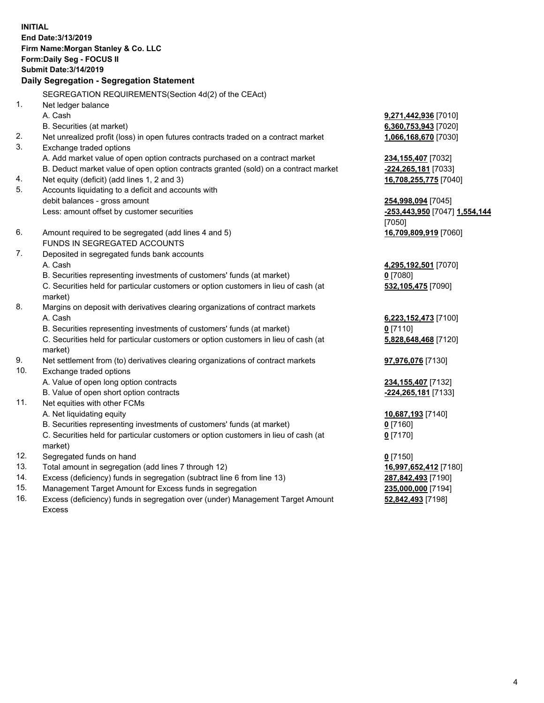**INITIAL End Date:3/13/2019 Firm Name:Morgan Stanley & Co. LLC Form:Daily Seg - FOCUS II Submit Date:3/14/2019 Daily Segregation - Segregation Statement** SEGREGATION REQUIREMENTS(Section 4d(2) of the CEAct) 1. Net ledger balance A. Cash **9,271,442,936** [7010] B. Securities (at market) **6,360,753,943** [7020] 2. Net unrealized profit (loss) in open futures contracts traded on a contract market **1,066,168,670** [7030] 3. Exchange traded options A. Add market value of open option contracts purchased on a contract market **234,155,407** [7032] B. Deduct market value of open option contracts granted (sold) on a contract market **-224,265,181** [7033] 4. Net equity (deficit) (add lines 1, 2 and 3) **16,708,255,775** [7040] 5. Accounts liquidating to a deficit and accounts with debit balances - gross amount **254,998,094** [7045] Less: amount offset by customer securities **-253,443,950** [7047] **1,554,144** [7050] 6. Amount required to be segregated (add lines 4 and 5) **16,709,809,919** [7060] FUNDS IN SEGREGATED ACCOUNTS 7. Deposited in segregated funds bank accounts A. Cash **4,295,192,501** [7070] B. Securities representing investments of customers' funds (at market) **0** [7080] C. Securities held for particular customers or option customers in lieu of cash (at market) **532,105,475** [7090] 8. Margins on deposit with derivatives clearing organizations of contract markets A. Cash **6,223,152,473** [7100] B. Securities representing investments of customers' funds (at market) **0** [7110] C. Securities held for particular customers or option customers in lieu of cash (at market) **5,828,648,468** [7120] 9. Net settlement from (to) derivatives clearing organizations of contract markets **97,976,076** [7130] 10. Exchange traded options A. Value of open long option contracts **234,155,407** [7132] B. Value of open short option contracts **-224,265,181** [7133] 11. Net equities with other FCMs A. Net liquidating equity **10,687,193** [7140] B. Securities representing investments of customers' funds (at market) **0** [7160] C. Securities held for particular customers or option customers in lieu of cash (at market) **0** [7170] 12. Segregated funds on hand **0** [7150] 13. Total amount in segregation (add lines 7 through 12) **16,997,652,412** [7180] 14. Excess (deficiency) funds in segregation (subtract line 6 from line 13) **287,842,493** [7190]

- 15. Management Target Amount for Excess funds in segregation **235,000,000** [7194]
- 16. Excess (deficiency) funds in segregation over (under) Management Target Amount Excess

**52,842,493** [7198]